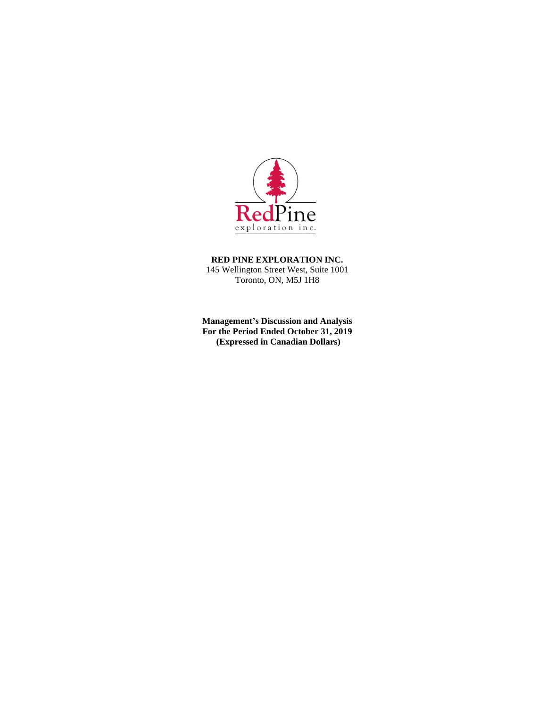

**RED PINE EXPLORATION INC.** 145 Wellington Street West, Suite 1001 Toronto, ON, M5J 1H8

**Management's Discussion and Analysis For the Period Ended October 31, 2019 (Expressed in Canadian Dollars)**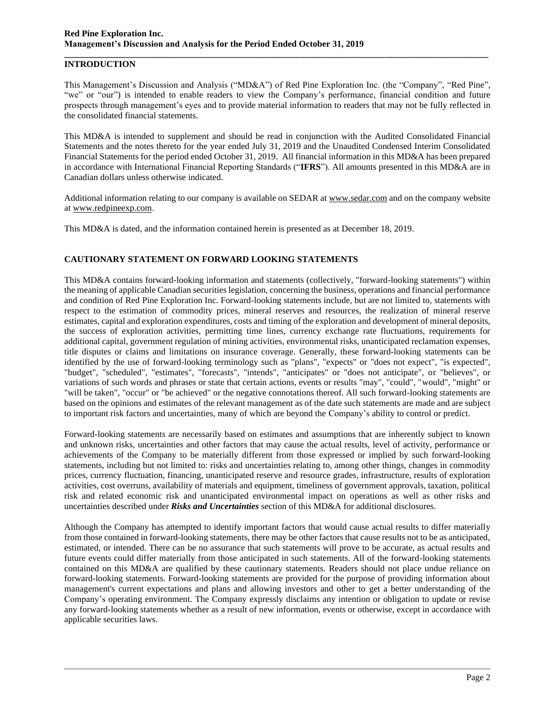# **INTRODUCTION**

This Management's Discussion and Analysis ("MD&A") of Red Pine Exploration Inc. (the "Company", "Red Pine", "we" or "our") is intended to enable readers to view the Company's performance, financial condition and future prospects through management's eyes and to provide material information to readers that may not be fully reflected in the consolidated financial statements.

This MD&A is intended to supplement and should be read in conjunction with the Audited Consolidated Financial Statements and the notes thereto for the year ended July 31, 2019 and the Unaudited Condensed Interim Consolidated Financial Statements for the period ended October 31, 2019. All financial information in this MD&A has been prepared in accordance with International Financial Reporting Standards ("**IFRS**"). All amounts presented in this MD&A are in Canadian dollars unless otherwise indicated.

Additional information relating to our company is available on SEDAR at www.sedar.com and on the company website at www.redpineexp.com.

This MD&A is dated, and the information contained herein is presented as at December 18, 2019.

# **CAUTIONARY STATEMENT ON FORWARD LOOKING STATEMENTS**

This MD&A contains forward-looking information and statements (collectively, "forward-looking statements") within the meaning of applicable Canadian securities legislation, concerning the business, operations and financial performance and condition of Red Pine Exploration Inc. Forward-looking statements include, but are not limited to, statements with respect to the estimation of commodity prices, mineral reserves and resources, the realization of mineral reserve estimates, capital and exploration expenditures, costs and timing of the exploration and development of mineral deposits, the success of exploration activities, permitting time lines, currency exchange rate fluctuations, requirements for additional capital, government regulation of mining activities, environmental risks, unanticipated reclamation expenses, title disputes or claims and limitations on insurance coverage. Generally, these forward-looking statements can be identified by the use of forward-looking terminology such as "plans", "expects" or "does not expect", "is expected", "budget", "scheduled", "estimates", "forecasts", "intends", "anticipates" or "does not anticipate", or "believes", or variations of such words and phrases or state that certain actions, events or results "may", "could", "would", "might" or "will be taken", "occur" or "be achieved" or the negative connotations thereof. All such forward-looking statements are based on the opinions and estimates of the relevant management as of the date such statements are made and are subject to important risk factors and uncertainties, many of which are beyond the Company's ability to control or predict.

Forward-looking statements are necessarily based on estimates and assumptions that are inherently subject to known and unknown risks, uncertainties and other factors that may cause the actual results, level of activity, performance or achievements of the Company to be materially different from those expressed or implied by such forward-looking statements, including but not limited to: risks and uncertainties relating to, among other things, changes in commodity prices, currency fluctuation, financing, unanticipated reserve and resource grades, infrastructure, results of exploration activities, cost overruns, availability of materials and equipment, timeliness of government approvals, taxation, political risk and related economic risk and unanticipated environmental impact on operations as well as other risks and uncertainties described under *Risks and Uncertainties* section of this MD&A for additional disclosures.

Although the Company has attempted to identify important factors that would cause actual results to differ materially from those contained in forward-looking statements, there may be other factors that cause results not to be as anticipated, estimated, or intended. There can be no assurance that such statements will prove to be accurate, as actual results and future events could differ materially from those anticipated in such statements. All of the forward-looking statements contained on this MD&A are qualified by these cautionary statements. Readers should not place undue reliance on forward-looking statements. Forward-looking statements are provided for the purpose of providing information about management's current expectations and plans and allowing investors and other to get a better understanding of the Company's operating environment. The Company expressly disclaims any intention or obligation to update or revise any forward-looking statements whether as a result of new information, events or otherwise, except in accordance with applicable securities laws.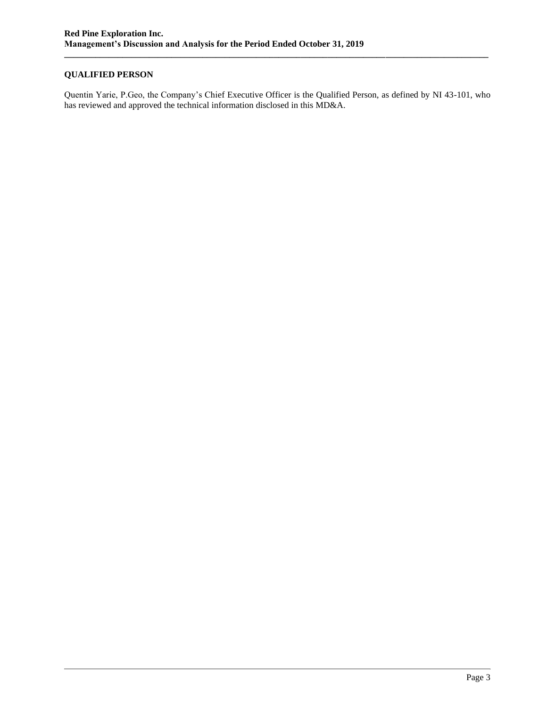# **QUALIFIED PERSON**

Quentin Yarie, P.Geo, the Company's Chief Executive Officer is the Qualified Person, as defined by NI 43-101, who has reviewed and approved the technical information disclosed in this MD&A.

**\_\_\_\_\_\_\_\_\_\_\_\_\_\_\_\_\_\_\_\_\_\_\_\_\_\_\_\_\_\_\_\_\_\_\_\_\_\_\_\_\_\_\_\_\_\_\_\_\_\_\_\_\_\_\_\_\_\_\_\_\_\_\_\_\_\_\_\_\_\_\_\_\_\_\_\_\_\_\_\_\_\_\_\_\_\_\_\_\_\_\_\_\_\_\_**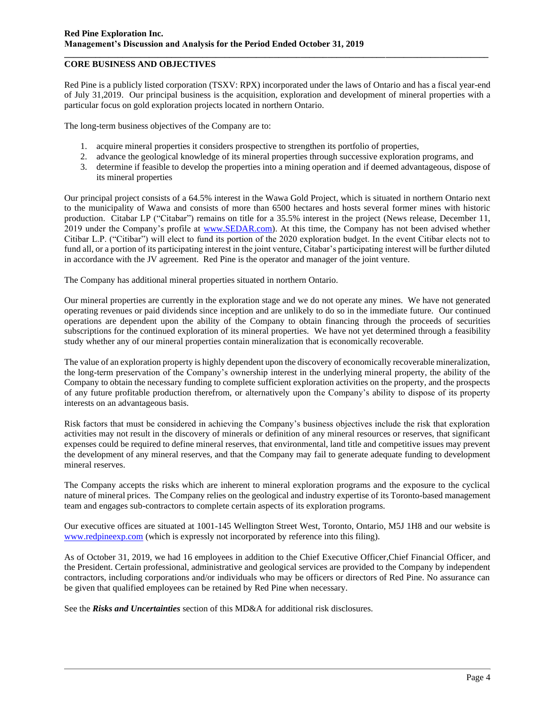#### **CORE BUSINESS AND OBJECTIVES**

Red Pine is a publicly listed corporation (TSXV: RPX) incorporated under the laws of Ontario and has a fiscal year-end of July 31,2019. Our principal business is the acquisition, exploration and development of mineral properties with a particular focus on gold exploration projects located in northern Ontario.

**\_\_\_\_\_\_\_\_\_\_\_\_\_\_\_\_\_\_\_\_\_\_\_\_\_\_\_\_\_\_\_\_\_\_\_\_\_\_\_\_\_\_\_\_\_\_\_\_\_\_\_\_\_\_\_\_\_\_\_\_\_\_\_\_\_\_\_\_\_\_\_\_\_\_\_\_\_\_\_\_\_\_\_\_\_\_\_\_\_\_\_\_\_\_\_**

The long-term business objectives of the Company are to:

- 1. acquire mineral properties it considers prospective to strengthen its portfolio of properties,
- 2. advance the geological knowledge of its mineral properties through successive exploration programs, and
- 3. determine if feasible to develop the properties into a mining operation and if deemed advantageous, dispose of its mineral properties

Our principal project consists of a 64.5% interest in the Wawa Gold Project, which is situated in northern Ontario next to the municipality of Wawa and consists of more than 6500 hectares and hosts several former mines with historic production. Citabar LP ("Citabar") remains on title for a 35.5% interest in the project (News release, December 11, 2019 under the Company's profile at [www.SEDAR.com\)](http://www.sedar.com/). At this time, the Company has not been advised whether Citibar L.P. ("Citibar") will elect to fund its portion of the 2020 exploration budget. In the event Citibar elects not to fund all, or a portion of its participating interest in the joint venture, Citabar's participating interest will be further diluted in accordance with the JV agreement. Red Pine is the operator and manager of the joint venture.

The Company has additional mineral properties situated in northern Ontario.

Our mineral properties are currently in the exploration stage and we do not operate any mines. We have not generated operating revenues or paid dividends since inception and are unlikely to do so in the immediate future. Our continued operations are dependent upon the ability of the Company to obtain financing through the proceeds of securities subscriptions for the continued exploration of its mineral properties. We have not yet determined through a feasibility study whether any of our mineral properties contain mineralization that is economically recoverable.

The value of an exploration property is highly dependent upon the discovery of economically recoverable mineralization, the long-term preservation of the Company's ownership interest in the underlying mineral property, the ability of the Company to obtain the necessary funding to complete sufficient exploration activities on the property, and the prospects of any future profitable production therefrom, or alternatively upon the Company's ability to dispose of its property interests on an advantageous basis.

Risk factors that must be considered in achieving the Company's business objectives include the risk that exploration activities may not result in the discovery of minerals or definition of any mineral resources or reserves, that significant expenses could be required to define mineral reserves, that environmental, land title and competitive issues may prevent the development of any mineral reserves, and that the Company may fail to generate adequate funding to development mineral reserves.

The Company accepts the risks which are inherent to mineral exploration programs and the exposure to the cyclical nature of mineral prices. The Company relies on the geological and industry expertise of its Toronto-based management team and engages sub-contractors to complete certain aspects of its exploration programs.

Our executive offices are situated at 1001-145 Wellington Street West, Toronto, Ontario, M5J 1H8 and our website is [www.redpineexp.com](http://www.redpineexp.com/) (which is expressly not incorporated by reference into this filing).

As of October 31, 2019, we had 16 employees in addition to the Chief Executive Officer,Chief Financial Officer, and the President. Certain professional, administrative and geological services are provided to the Company by independent contractors, including corporations and/or individuals who may be officers or directors of Red Pine. No assurance can be given that qualified employees can be retained by Red Pine when necessary.

See the *Risks and Uncertainties* section of this MD&A for additional risk disclosures.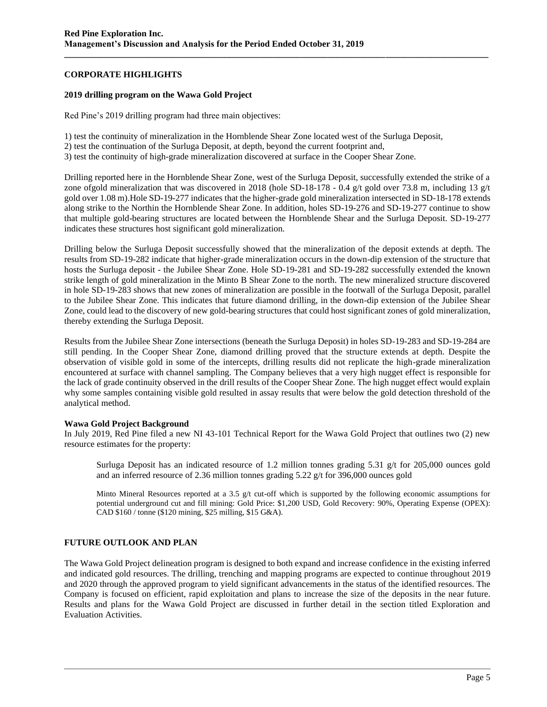### **CORPORATE HIGHLIGHTS**

#### **2019 drilling program on the Wawa Gold Project**

Red Pine's 2019 drilling program had three main objectives:

1) test the continuity of mineralization in the Hornblende Shear Zone located west of the Surluga Deposit,

- 2) test the continuation of the Surluga Deposit, at depth, beyond the current footprint and,
- 3) test the continuity of high-grade mineralization discovered at surface in the Cooper Shear Zone.

Drilling reported here in the Hornblende Shear Zone, west of the Surluga Deposit, successfully extended the strike of a zone ofgold mineralization that was discovered in 2018 (hole SD-18-178 - 0.4 g/t gold over 73.8 m, including 13 g/t gold over 1.08 m).Hole SD-19-277 indicates that the higher-grade gold mineralization intersected in SD-18-178 extends along strike to the Northin the Hornblende Shear Zone. In addition, holes SD-19-276 and SD-19-277 continue to show that multiple gold-bearing structures are located between the Hornblende Shear and the Surluga Deposit. SD-19-277 indicates these structures host significant gold mineralization.

**\_\_\_\_\_\_\_\_\_\_\_\_\_\_\_\_\_\_\_\_\_\_\_\_\_\_\_\_\_\_\_\_\_\_\_\_\_\_\_\_\_\_\_\_\_\_\_\_\_\_\_\_\_\_\_\_\_\_\_\_\_\_\_\_\_\_\_\_\_\_\_\_\_\_\_\_\_\_\_\_\_\_\_\_\_\_\_\_\_\_\_\_\_\_\_**

Drilling below the Surluga Deposit successfully showed that the mineralization of the deposit extends at depth. The results from SD-19-282 indicate that higher-grade mineralization occurs in the down-dip extension of the structure that hosts the Surluga deposit - the Jubilee Shear Zone. Hole SD-19-281 and SD-19-282 successfully extended the known strike length of gold mineralization in the Minto B Shear Zone to the north. The new mineralized structure discovered in hole SD-19-283 shows that new zones of mineralization are possible in the footwall of the Surluga Deposit, parallel to the Jubilee Shear Zone. This indicates that future diamond drilling, in the down-dip extension of the Jubilee Shear Zone, could lead to the discovery of new gold-bearing structures that could host significant zones of gold mineralization, thereby extending the Surluga Deposit.

Results from the Jubilee Shear Zone intersections (beneath the Surluga Deposit) in holes SD-19-283 and SD-19-284 are still pending. In the Cooper Shear Zone, diamond drilling proved that the structure extends at depth. Despite the observation of visible gold in some of the intercepts, drilling results did not replicate the high-grade mineralization encountered at surface with channel sampling. The Company believes that a very high nugget effect is responsible for the lack of grade continuity observed in the drill results of the Cooper Shear Zone. The high nugget effect would explain why some samples containing visible gold resulted in assay results that were below the gold detection threshold of the analytical method.

### **Wawa Gold Project Background**

In July 2019, Red Pine filed a new NI 43-101 Technical Report for the Wawa Gold Project that outlines two (2) new resource estimates for the property:

Surluga Deposit has an indicated resource of 1.2 million tonnes grading 5.31 g/t for 205,000 ounces gold and an inferred resource of 2.36 million tonnes grading 5.22 g/t for 396,000 ounces gold

Minto Mineral Resources reported at a 3.5 g/t cut-off which is supported by the following economic assumptions for potential underground cut and fill mining: Gold Price: \$1,200 USD, Gold Recovery: 90%, Operating Expense (OPEX): CAD \$160 / tonne (\$120 mining, \$25 milling, \$15 G&A).

### **FUTURE OUTLOOK AND PLAN**

The Wawa Gold Project delineation program is designed to both expand and increase confidence in the existing inferred and indicated gold resources. The drilling, trenching and mapping programs are expected to continue throughout 2019 and 2020 through the approved program to yield significant advancements in the status of the identified resources. The Company is focused on efficient, rapid exploitation and plans to increase the size of the deposits in the near future. Results and plans for the Wawa Gold Project are discussed in further detail in the section titled Exploration and Evaluation Activities.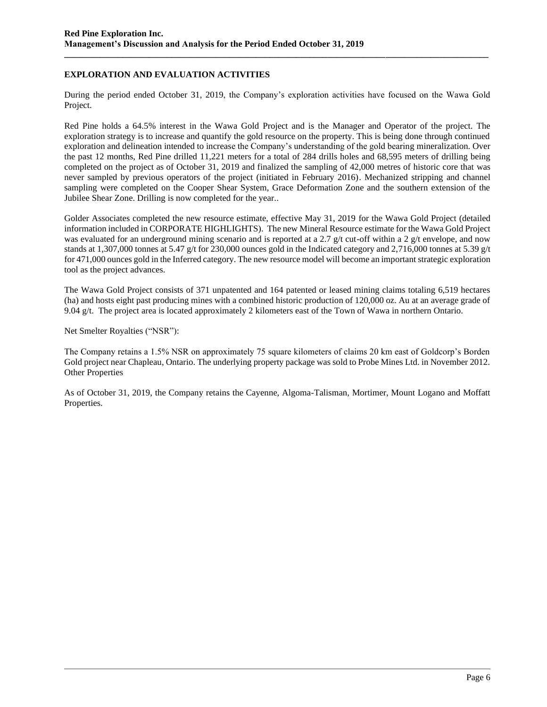# **EXPLORATION AND EVALUATION ACTIVITIES**

During the period ended October 31, 2019, the Company's exploration activities have focused on the Wawa Gold Project.

**\_\_\_\_\_\_\_\_\_\_\_\_\_\_\_\_\_\_\_\_\_\_\_\_\_\_\_\_\_\_\_\_\_\_\_\_\_\_\_\_\_\_\_\_\_\_\_\_\_\_\_\_\_\_\_\_\_\_\_\_\_\_\_\_\_\_\_\_\_\_\_\_\_\_\_\_\_\_\_\_\_\_\_\_\_\_\_\_\_\_\_\_\_\_\_**

Red Pine holds a 64.5% interest in the Wawa Gold Project and is the Manager and Operator of the project. The exploration strategy is to increase and quantify the gold resource on the property. This is being done through continued exploration and delineation intended to increase the Company's understanding of the gold bearing mineralization. Over the past 12 months, Red Pine drilled 11,221 meters for a total of 284 drills holes and 68,595 meters of drilling being completed on the project as of October 31, 2019 and finalized the sampling of 42,000 metres of historic core that was never sampled by previous operators of the project (initiated in February 2016). Mechanized stripping and channel sampling were completed on the Cooper Shear System, Grace Deformation Zone and the southern extension of the Jubilee Shear Zone. Drilling is now completed for the year..

Golder Associates completed the new resource estimate, effective May 31, 2019 for the Wawa Gold Project (detailed information included in CORPORATE HIGHLIGHTS). The new Mineral Resource estimate for the Wawa Gold Project was evaluated for an underground mining scenario and is reported at a 2.7 g/t cut-off within a 2 g/t envelope, and now stands at 1,307,000 tonnes at 5.47 g/t for 230,000 ounces gold in the Indicated category and 2,716,000 tonnes at 5.39 g/t for 471,000 ounces gold in the Inferred category. The new resource model will become an important strategic exploration tool as the project advances.

The Wawa Gold Project consists of 371 unpatented and 164 patented or leased mining claims totaling 6,519 hectares (ha) and hosts eight past producing mines with a combined historic production of 120,000 oz. Au at an average grade of 9.04 g/t. The project area is located approximately 2 kilometers east of the Town of Wawa in northern Ontario.

Net Smelter Royalties ("NSR"):

The Company retains a 1.5% NSR on approximately 75 square kilometers of claims 20 km east of Goldcorp's Borden Gold project near Chapleau, Ontario. The underlying property package was sold to Probe Mines Ltd. in November 2012. Other Properties

As of October 31, 2019, the Company retains the Cayenne, Algoma-Talisman, Mortimer, Mount Logano and Moffatt Properties.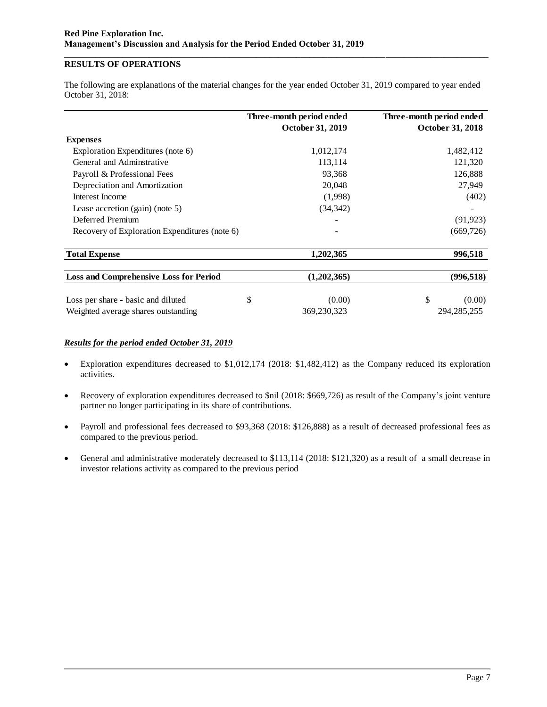# **RESULTS OF OPERATIONS**

The following are explanations of the material changes for the year ended October 31, 2019 compared to year ended October 31, 2018:

**\_\_\_\_\_\_\_\_\_\_\_\_\_\_\_\_\_\_\_\_\_\_\_\_\_\_\_\_\_\_\_\_\_\_\_\_\_\_\_\_\_\_\_\_\_\_\_\_\_\_\_\_\_\_\_\_\_\_\_\_\_\_\_\_\_\_\_\_\_\_\_\_\_\_\_\_\_\_\_\_\_\_\_\_\_\_\_\_\_\_\_\_\_\_\_**

|                                               | Three-month period ended | Three-month period ended |
|-----------------------------------------------|--------------------------|--------------------------|
|                                               | October 31, 2019         | October 31, 2018         |
| <b>Expenses</b>                               |                          |                          |
| Exploration Expenditures (note 6)             | 1,012,174                | 1,482,412                |
| General and Adminstrative                     | 113,114                  | 121,320                  |
| Payroll & Professional Fees                   | 93,368                   | 126,888                  |
| Depreciation and Amortization                 | 20,048                   | 27,949                   |
| Interest Income                               | (1,998)                  | (402)                    |
| Lease accretion $(gain)$ (note 5)             | (34, 342)                |                          |
| Deferred Premium                              |                          | (91, 923)                |
| Recovery of Exploration Expenditures (note 6) |                          | (669, 726)               |
| <b>Total Expense</b>                          | 1,202,365                | 996,518                  |
| <b>Loss and Comprehensive Loss for Period</b> | (1,202,365)              | (996, 518)               |
| Loss per share - basic and diluted            | \$<br>(0.00)             | \$<br>(0.00)             |
| Weighted average shares outstanding           | 369,230,323              | 294, 285, 255            |

### *Results for the period ended October 31, 2019*

- Exploration expenditures decreased to \$1,012,174 (2018: \$1,482,412) as the Company reduced its exploration activities.
- Recovery of exploration expenditures decreased to \$nil (2018: \$669,726) as result of the Company's joint venture partner no longer participating in its share of contributions.
- Payroll and professional fees decreased to \$93,368 (2018: \$126,888) as a result of decreased professional fees as compared to the previous period.
- General and administrative moderately decreased to \$113,114 (2018: \$121,320) as a result of a small decrease in investor relations activity as compared to the previous period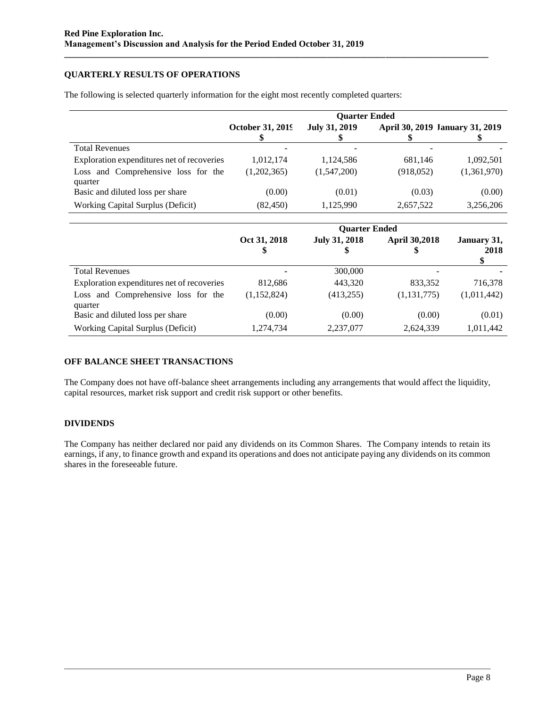# **QUARTERLY RESULTS OF OPERATIONS**

The following is selected quarterly information for the eight most recently completed quarters:

|                                            | <b>Quarter Ended</b>                                                               |             |           |             |
|--------------------------------------------|------------------------------------------------------------------------------------|-------------|-----------|-------------|
|                                            | <b>October 31, 2019</b><br><b>July 31, 2019</b><br>April 30, 2019 January 31, 2019 |             |           |             |
|                                            |                                                                                    |             |           |             |
| <b>Total Revenues</b>                      |                                                                                    |             |           |             |
| Exploration expenditures net of recoveries | 1,012,174                                                                          | 1,124,586   | 681,146   | 1,092,501   |
| Loss and Comprehensive loss for the        | (1,202,365)                                                                        | (1,547,200) | (918,052) | (1,361,970) |
| quarter                                    |                                                                                    |             |           |             |
| Basic and diluted loss per share           | (0.00)                                                                             | (0.01)      | (0.03)    | (0.00)      |
| <b>Working Capital Surplus (Deficit)</b>   | (82, 450)                                                                          | 1,125,990   | 2,657,522 | 3,256,206   |

**\_\_\_\_\_\_\_\_\_\_\_\_\_\_\_\_\_\_\_\_\_\_\_\_\_\_\_\_\_\_\_\_\_\_\_\_\_\_\_\_\_\_\_\_\_\_\_\_\_\_\_\_\_\_\_\_\_\_\_\_\_\_\_\_\_\_\_\_\_\_\_\_\_\_\_\_\_\_\_\_\_\_\_\_\_\_\_\_\_\_\_\_\_\_\_**

|                                                | <b>Quarter Ended</b> |                      |                      |                           |
|------------------------------------------------|----------------------|----------------------|----------------------|---------------------------|
|                                                | Oct 31, 2018<br>\$   | <b>July 31, 2018</b> | <b>April 30,2018</b> | January 31,<br>2018<br>\$ |
| <b>Total Revenues</b>                          |                      | 300,000              |                      |                           |
| Exploration expenditures net of recoveries     | 812,686              | 443,320              | 833,352              | 716,378                   |
| Loss and Comprehensive loss for the<br>quarter | (1,152,824)          | (413, 255)           | (1,131,775)          | (1,011,442)               |
| Basic and diluted loss per share               | (0.00)               | (0.00)               | (0.00)               | (0.01)                    |
| <b>Working Capital Surplus (Deficit)</b>       | 1,274,734            | 2,237,077            | 2,624,339            | 1,011,442                 |

### **OFF BALANCE SHEET TRANSACTIONS**

The Company does not have off-balance sheet arrangements including any arrangements that would affect the liquidity, capital resources, market risk support and credit risk support or other benefits.

# **DIVIDENDS**

The Company has neither declared nor paid any dividends on its Common Shares. The Company intends to retain its earnings, if any, to finance growth and expand its operations and does not anticipate paying any dividends on its common shares in the foreseeable future.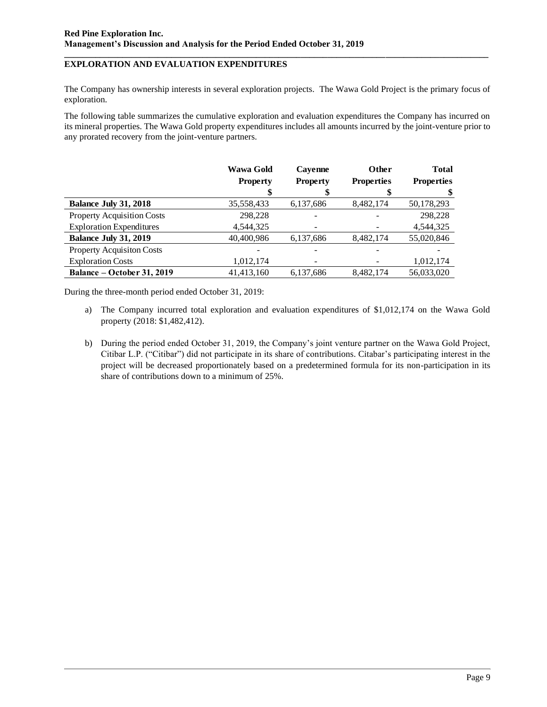# **EXPLORATION AND EVALUATION EXPENDITURES**

The Company has ownership interests in several exploration projects. The Wawa Gold Project is the primary focus of exploration.

**\_\_\_\_\_\_\_\_\_\_\_\_\_\_\_\_\_\_\_\_\_\_\_\_\_\_\_\_\_\_\_\_\_\_\_\_\_\_\_\_\_\_\_\_\_\_\_\_\_\_\_\_\_\_\_\_\_\_\_\_\_\_\_\_\_\_\_\_\_\_\_\_\_\_\_\_\_\_\_\_\_\_\_\_\_\_\_\_\_\_\_\_\_\_\_**

The following table summarizes the cumulative exploration and evaluation expenditures the Company has incurred on its mineral properties. The Wawa Gold property expenditures includes all amounts incurred by the joint-venture prior to any prorated recovery from the joint-venture partners.

|                                   | Wawa Gold<br><b>Property</b> | Cayenne<br><b>Property</b> | <b>Other</b><br><b>Properties</b> | <b>Total</b><br><b>Properties</b> |
|-----------------------------------|------------------------------|----------------------------|-----------------------------------|-----------------------------------|
|                                   |                              | 5                          | \$                                | \$                                |
| <b>Balance July 31, 2018</b>      | 35,558,433                   | 6,137,686                  | 8,482,174                         | 50,178,293                        |
| <b>Property Acquisition Costs</b> | 298,228                      |                            |                                   | 298,228                           |
| <b>Exploration Expenditures</b>   | 4,544,325                    |                            |                                   | 4,544,325                         |
| <b>Balance July 31, 2019</b>      | 40,400,986                   | 6,137,686                  | 8,482,174                         | 55,020,846                        |
| <b>Property Acquisiton Costs</b>  |                              |                            |                                   |                                   |
| <b>Exploration Costs</b>          | 1,012,174                    |                            |                                   | 1,012,174                         |
| Balance – October 31, 2019        | 41,413,160                   | 6,137,686                  | 8.482.174                         | 56,033,020                        |

During the three-month period ended October 31, 2019:

- a) The Company incurred total exploration and evaluation expenditures of \$1,012,174 on the Wawa Gold property (2018: \$1,482,412).
- b) During the period ended October 31, 2019, the Company's joint venture partner on the Wawa Gold Project, Citibar L.P. ("Citibar") did not participate in its share of contributions. Citabar's participating interest in the project will be decreased proportionately based on a predetermined formula for its non-participation in its share of contributions down to a minimum of 25%.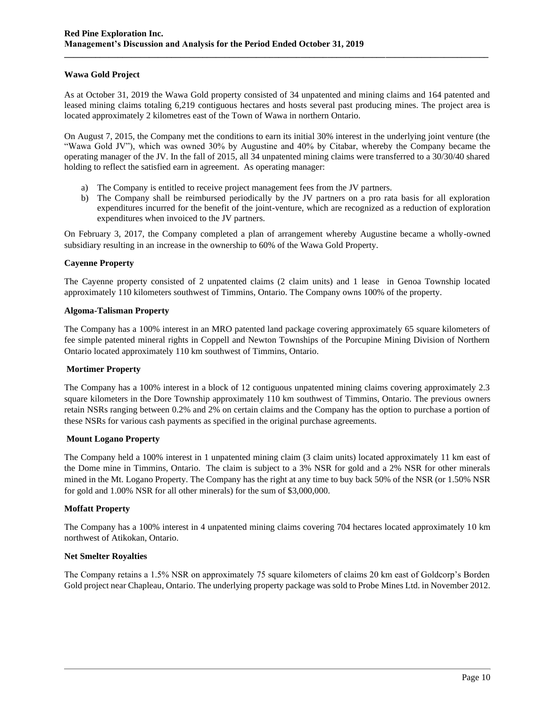# **Wawa Gold Project**

As at October 31, 2019 the Wawa Gold property consisted of 34 unpatented and mining claims and 164 patented and leased mining claims totaling 6,219 contiguous hectares and hosts several past producing mines. The project area is located approximately 2 kilometres east of the Town of Wawa in northern Ontario.

**\_\_\_\_\_\_\_\_\_\_\_\_\_\_\_\_\_\_\_\_\_\_\_\_\_\_\_\_\_\_\_\_\_\_\_\_\_\_\_\_\_\_\_\_\_\_\_\_\_\_\_\_\_\_\_\_\_\_\_\_\_\_\_\_\_\_\_\_\_\_\_\_\_\_\_\_\_\_\_\_\_\_\_\_\_\_\_\_\_\_\_\_\_\_\_**

On August 7, 2015, the Company met the conditions to earn its initial 30% interest in the underlying joint venture (the "Wawa Gold JV"), which was owned 30% by Augustine and 40% by Citabar, whereby the Company became the operating manager of the JV. In the fall of 2015, all 34 unpatented mining claims were transferred to a 30/30/40 shared holding to reflect the satisfied earn in agreement. As operating manager:

- a) The Company is entitled to receive project management fees from the JV partners.
- b) The Company shall be reimbursed periodically by the JV partners on a pro rata basis for all exploration expenditures incurred for the benefit of the joint-venture, which are recognized as a reduction of exploration expenditures when invoiced to the JV partners.

On February 3, 2017, the Company completed a plan of arrangement whereby Augustine became a wholly-owned subsidiary resulting in an increase in the ownership to 60% of the Wawa Gold Property.

#### **Cayenne Property**

The Cayenne property consisted of 2 unpatented claims (2 claim units) and 1 lease in Genoa Township located approximately 110 kilometers southwest of Timmins, Ontario. The Company owns 100% of the property.

#### **Algoma-Talisman Property**

The Company has a 100% interest in an MRO patented land package covering approximately 65 square kilometers of fee simple patented mineral rights in Coppell and Newton Townships of the Porcupine Mining Division of Northern Ontario located approximately 110 km southwest of Timmins, Ontario.

### **Mortimer Property**

The Company has a 100% interest in a block of 12 contiguous unpatented mining claims covering approximately 2.3 square kilometers in the Dore Township approximately 110 km southwest of Timmins, Ontario. The previous owners retain NSRs ranging between 0.2% and 2% on certain claims and the Company has the option to purchase a portion of these NSRs for various cash payments as specified in the original purchase agreements.

### **Mount Logano Property**

The Company held a 100% interest in 1 unpatented mining claim (3 claim units) located approximately 11 km east of the Dome mine in Timmins, Ontario. The claim is subject to a 3% NSR for gold and a 2% NSR for other minerals mined in the Mt. Logano Property. The Company has the right at any time to buy back 50% of the NSR (or 1.50% NSR for gold and 1.00% NSR for all other minerals) for the sum of \$3,000,000.

### **Moffatt Property**

The Company has a 100% interest in 4 unpatented mining claims covering 704 hectares located approximately 10 km northwest of Atikokan, Ontario.

### **Net Smelter Royalties**

The Company retains a 1.5% NSR on approximately 75 square kilometers of claims 20 km east of Goldcorp's Borden Gold project near Chapleau, Ontario. The underlying property package was sold to Probe Mines Ltd. in November 2012.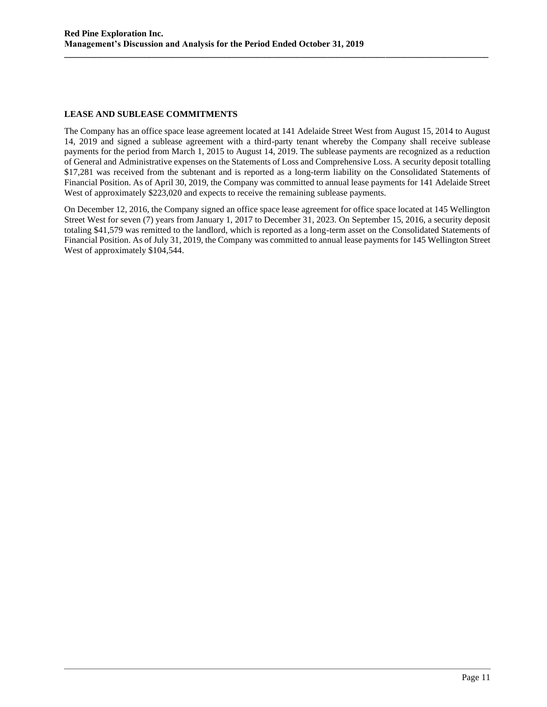# **LEASE AND SUBLEASE COMMITMENTS**

The Company has an office space lease agreement located at 141 Adelaide Street West from August 15, 2014 to August 14, 2019 and signed a sublease agreement with a third-party tenant whereby the Company shall receive sublease payments for the period from March 1, 2015 to August 14, 2019. The sublease payments are recognized as a reduction of General and Administrative expenses on the Statements of Loss and Comprehensive Loss. A security deposit totalling \$17,281 was received from the subtenant and is reported as a long-term liability on the Consolidated Statements of Financial Position. As of April 30, 2019, the Company was committed to annual lease payments for 141 Adelaide Street West of approximately \$223,020 and expects to receive the remaining sublease payments.

**\_\_\_\_\_\_\_\_\_\_\_\_\_\_\_\_\_\_\_\_\_\_\_\_\_\_\_\_\_\_\_\_\_\_\_\_\_\_\_\_\_\_\_\_\_\_\_\_\_\_\_\_\_\_\_\_\_\_\_\_\_\_\_\_\_\_\_\_\_\_\_\_\_\_\_\_\_\_\_\_\_\_\_\_\_\_\_\_\_\_\_\_\_\_\_**

On December 12, 2016, the Company signed an office space lease agreement for office space located at 145 Wellington Street West for seven (7) years from January 1, 2017 to December 31, 2023. On September 15, 2016, a security deposit totaling \$41,579 was remitted to the landlord, which is reported as a long-term asset on the Consolidated Statements of Financial Position. As of July 31, 2019, the Company was committed to annual lease payments for 145 Wellington Street West of approximately \$104,544.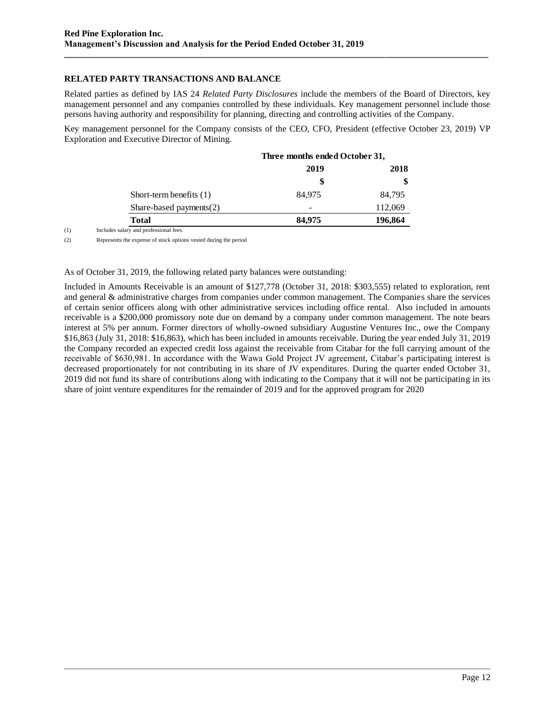# **RELATED PARTY TRANSACTIONS AND BALANCE**

Related parties as defined by IAS 24 *Related Party Disclosures* include the members of the Board of Directors, key management personnel and any companies controlled by these individuals. Key management personnel include those persons having authority and responsibility for planning, directing and controlling activities of the Company.

**\_\_\_\_\_\_\_\_\_\_\_\_\_\_\_\_\_\_\_\_\_\_\_\_\_\_\_\_\_\_\_\_\_\_\_\_\_\_\_\_\_\_\_\_\_\_\_\_\_\_\_\_\_\_\_\_\_\_\_\_\_\_\_\_\_\_\_\_\_\_\_\_\_\_\_\_\_\_\_\_\_\_\_\_\_\_\_\_\_\_\_\_\_\_\_**

Key management personnel for the Company consists of the CEO, CFO, President (effective October 23, 2019) VP Exploration and Executive Director of Mining.

|     |                                        | Three months ended October 31, |         |
|-----|----------------------------------------|--------------------------------|---------|
|     |                                        | 2019                           | 2018    |
|     |                                        |                                |         |
|     | Short-term benefits $(1)$              | 84,975                         | 84,795  |
|     | Share-based payments $(2)$             |                                | 112,069 |
|     | Total                                  | 84,975                         | 196,864 |
| (1) | Includes salary and professional fees. |                                |         |

(2) Represents the expense of stock options vested during the period

As of October 31, 2019, the following related party balances were outstanding:

Included in Amounts Receivable is an amount of \$127,778 (October 31, 2018: \$303,555) related to exploration, rent and general & administrative charges from companies under common management. The Companies share the services of certain senior officers along with other administrative services including office rental. Also included in amounts receivable is a \$200,000 promissory note due on demand by a company under common management. The note bears interest at 5% per annum. Former directors of wholly-owned subsidiary Augustine Ventures Inc., owe the Company \$16,863 (July 31, 2018: \$16,863), which has been included in amounts receivable. During the year ended July 31, 2019 the Company recorded an expected credit loss against the receivable from Citabar for the full carrying amount of the receivable of \$630,981. In accordance with the Wawa Gold Project JV agreement, Citabar's participating interest is decreased proportionately for not contributing in its share of JV expenditures. During the quarter ended October 31, 2019 did not fund its share of contributions along with indicating to the Company that it will not be participating in its share of joint venture expenditures for the remainder of 2019 and for the approved program for 2020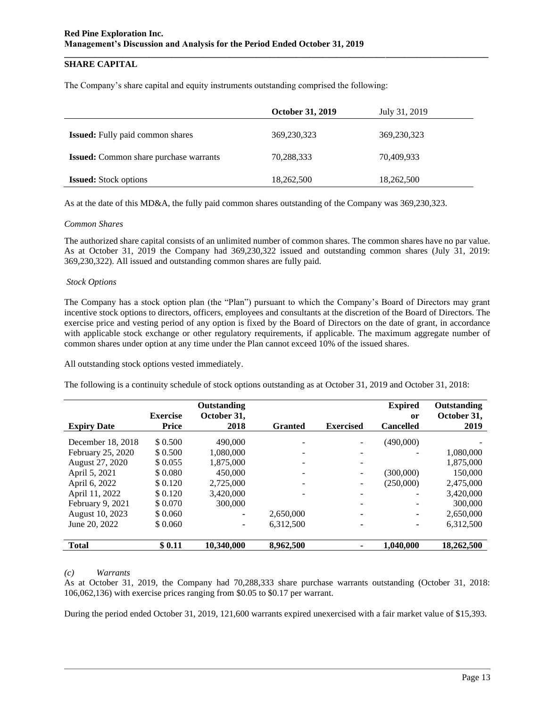# **SHARE CAPITAL**

The Company's share capital and equity instruments outstanding comprised the following:

|                                               | <b>October 31, 2019</b> | July 31, 2019 |
|-----------------------------------------------|-------------------------|---------------|
| <b>Issued:</b> Fully paid common shares       | 369,230,323             | 369, 230, 323 |
| <b>Issued:</b> Common share purchase warrants | 70,288,333              | 70,409,933    |
| <b>Issued:</b> Stock options                  | 18,262,500              | 18,262,500    |

As at the date of this MD&A, the fully paid common shares outstanding of the Company was 369,230,323.

#### *Common Shares*

The authorized share capital consists of an unlimited number of common shares. The common shares have no par value. As at October 31, 2019 the Company had 369,230,322 issued and outstanding common shares (July 31, 2019: 369,230,322). All issued and outstanding common shares are fully paid.

#### *Stock Options*

The Company has a stock option plan (the "Plan") pursuant to which the Company's Board of Directors may grant incentive stock options to directors, officers, employees and consultants at the discretion of the Board of Directors. The exercise price and vesting period of any option is fixed by the Board of Directors on the date of grant, in accordance with applicable stock exchange or other regulatory requirements, if applicable. The maximum aggregate number of common shares under option at any time under the Plan cannot exceed 10% of the issued shares.

All outstanding stock options vested immediately.

The following is a continuity schedule of stock options outstanding as at October 31, 2019 and October 31, 2018:

| <b>Expiry Date</b> | <b>Exercise</b><br><b>Price</b> | Outstanding<br>October 31,<br>2018 | <b>Granted</b> | <b>Exercised</b> | <b>Expired</b><br><sub>or</sub><br><b>Cancelled</b> | Outstanding<br>October 31,<br>2019 |
|--------------------|---------------------------------|------------------------------------|----------------|------------------|-----------------------------------------------------|------------------------------------|
| December 18, 2018  | \$ 0.500                        | 490,000                            |                |                  | (490,000)                                           |                                    |
| February 25, 2020  | \$0.500                         | 1,080,000                          |                |                  |                                                     | 1,080,000                          |
| August 27, 2020    | \$ 0.055                        | 1,875,000                          |                |                  |                                                     | 1,875,000                          |
| April 5, 2021      | \$0.080                         | 450,000                            |                |                  | (300,000)                                           | 150,000                            |
| April 6, 2022      | \$ 0.120                        | 2,725,000                          |                |                  | (250,000)                                           | 2,475,000                          |
| April 11, 2022     | \$ 0.120                        | 3.420,000                          |                |                  | ٠                                                   | 3,420,000                          |
| February 9, 2021   | \$ 0.070                        | 300,000                            |                |                  |                                                     | 300,000                            |
| August 10, 2023    | \$ 0.060                        | ۰                                  | 2,650,000      |                  |                                                     | 2,650,000                          |
| June 20, 2022      | \$0.060                         |                                    | 6,312,500      |                  | $\blacksquare$                                      | 6,312,500                          |
| <b>Total</b>       | \$0.11                          | 10,340,000                         | 8,962,500      |                  | 1,040,000                                           | 18,262,500                         |

### *(c) Warrants*

As at October 31, 2019, the Company had 70,288,333 share purchase warrants outstanding (October 31, 2018: 106,062,136) with exercise prices ranging from \$0.05 to \$0.17 per warrant.

During the period ended October 31, 2019, 121,600 warrants expired unexercised with a fair market value of \$15,393.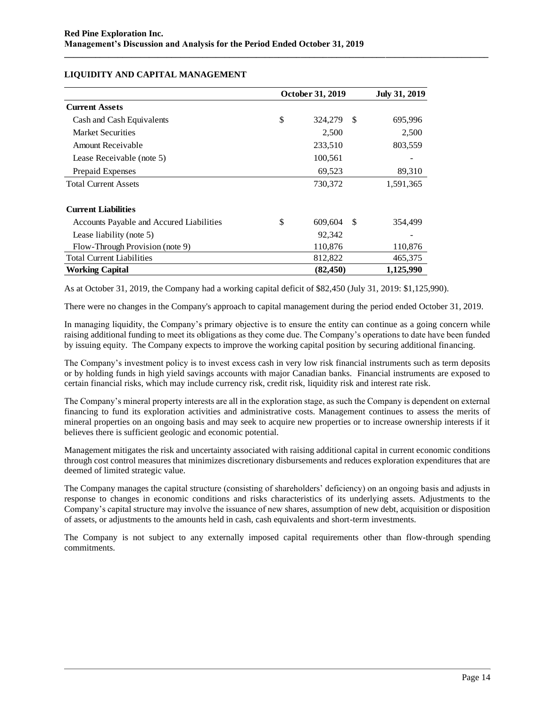|                                          | October 31, 2019      | <b>July 31, 2019</b> |
|------------------------------------------|-----------------------|----------------------|
| <b>Current Assets</b>                    |                       |                      |
| Cash and Cash Equivalents                | \$<br>324,279<br>\$   | 695,996              |
| <b>Market Securities</b>                 | 2,500                 | 2,500                |
| Amount Receivable                        | 233,510               | 803,559              |
| Lease Receivable (note 5)                | 100,561               |                      |
| Prepaid Expenses                         | 69,523                | 89,310               |
| <b>Total Current Assets</b>              | 730,372               | 1,591,365            |
| <b>Current Liabilities</b>               |                       |                      |
| Accounts Payable and Accured Liabilities | \$<br>609,604<br>- \$ | 354,499              |
| Lease liability (note 5)                 | 92,342                |                      |
| Flow-Through Provision (note 9)          | 110,876               | 110,876              |
| <b>Total Current Liabilities</b>         | 812,822               | 465,375              |
| <b>Working Capital</b>                   | (82, 450)             | 1,125,990            |

# **LIQUIDITY AND CAPITAL MANAGEMENT**

As at October 31, 2019, the Company had a working capital deficit of \$82,450 (July 31, 2019: \$1,125,990).

There were no changes in the Company's approach to capital management during the period ended October 31, 2019.

**\_\_\_\_\_\_\_\_\_\_\_\_\_\_\_\_\_\_\_\_\_\_\_\_\_\_\_\_\_\_\_\_\_\_\_\_\_\_\_\_\_\_\_\_\_\_\_\_\_\_\_\_\_\_\_\_\_\_\_\_\_\_\_\_\_\_\_\_\_\_\_\_\_\_\_\_\_\_\_\_\_\_\_\_\_\_\_\_\_\_\_\_\_\_\_**

In managing liquidity, the Company's primary objective is to ensure the entity can continue as a going concern while raising additional funding to meet its obligations as they come due. The Company's operations to date have been funded by issuing equity. The Company expects to improve the working capital position by securing additional financing.

The Company's investment policy is to invest excess cash in very low risk financial instruments such as term deposits or by holding funds in high yield savings accounts with major Canadian banks. Financial instruments are exposed to certain financial risks, which may include currency risk, credit risk, liquidity risk and interest rate risk.

The Company's mineral property interests are all in the exploration stage, as such the Company is dependent on external financing to fund its exploration activities and administrative costs. Management continues to assess the merits of mineral properties on an ongoing basis and may seek to acquire new properties or to increase ownership interests if it believes there is sufficient geologic and economic potential.

Management mitigates the risk and uncertainty associated with raising additional capital in current economic conditions through cost control measures that minimizes discretionary disbursements and reduces exploration expenditures that are deemed of limited strategic value.

The Company manages the capital structure (consisting of shareholders' deficiency) on an ongoing basis and adjusts in response to changes in economic conditions and risks characteristics of its underlying assets. Adjustments to the Company's capital structure may involve the issuance of new shares, assumption of new debt, acquisition or disposition of assets, or adjustments to the amounts held in cash, cash equivalents and short-term investments.

The Company is not subject to any externally imposed capital requirements other than flow-through spending commitments.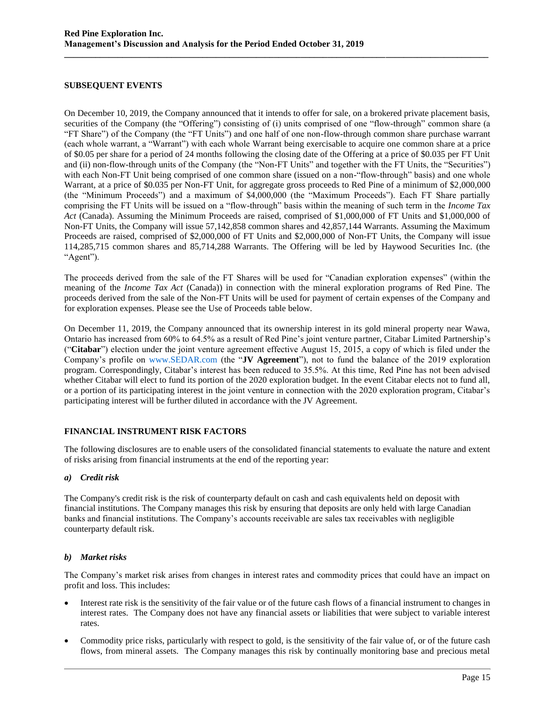### **SUBSEQUENT EVENTS**

On December 10, 2019, the Company announced that it intends to offer for sale, on a brokered private placement basis, securities of the Company (the "Offering") consisting of (i) units comprised of one "flow-through" common share (a "FT Share") of the Company (the "FT Units") and one half of one non-flow-through common share purchase warrant (each whole warrant, a "Warrant") with each whole Warrant being exercisable to acquire one common share at a price of \$0.05 per share for a period of 24 months following the closing date of the Offering at a price of \$0.035 per FT Unit and (ii) non-flow-through units of the Company (the "Non-FT Units" and together with the FT Units, the "Securities") with each Non-FT Unit being comprised of one common share (issued on a non-"flow-through" basis) and one whole Warrant, at a price of \$0.035 per Non-FT Unit, for aggregate gross proceeds to Red Pine of a minimum of \$2,000,000 (the "Minimum Proceeds") and a maximum of \$4,000,000 (the "Maximum Proceeds"). Each FT Share partially comprising the FT Units will be issued on a "flow-through" basis within the meaning of such term in the *Income Tax*  Act (Canada). Assuming the Minimum Proceeds are raised, comprised of \$1,000,000 of FT Units and \$1,000,000 of Non-FT Units, the Company will issue 57,142,858 common shares and 42,857,144 Warrants. Assuming the Maximum Proceeds are raised, comprised of \$2,000,000 of FT Units and \$2,000,000 of Non-FT Units, the Company will issue 114,285,715 common shares and 85,714,288 Warrants. The Offering will be led by Haywood Securities Inc. (the "Agent").

**\_\_\_\_\_\_\_\_\_\_\_\_\_\_\_\_\_\_\_\_\_\_\_\_\_\_\_\_\_\_\_\_\_\_\_\_\_\_\_\_\_\_\_\_\_\_\_\_\_\_\_\_\_\_\_\_\_\_\_\_\_\_\_\_\_\_\_\_\_\_\_\_\_\_\_\_\_\_\_\_\_\_\_\_\_\_\_\_\_\_\_\_\_\_\_**

The proceeds derived from the sale of the FT Shares will be used for "Canadian exploration expenses" (within the meaning of the *Income Tax Act* (Canada)) in connection with the mineral exploration programs of Red Pine. The proceeds derived from the sale of the Non-FT Units will be used for payment of certain expenses of the Company and for exploration expenses. Please see the Use of Proceeds table below.

On December 11, 2019, the Company announced that its ownership interest in its gold mineral property near Wawa, Ontario has increased from 60% to 64.5% as a result of Red Pine's joint venture partner, Citabar Limited Partnership's ("**Citabar**") election under the joint venture agreement effective August 15, 2015, a copy of which is filed under the Company's profile on www.SEDAR.com (the "**JV Agreement**"), not to fund the balance of the 2019 exploration program. Correspondingly, Citabar's interest has been reduced to 35.5%. At this time, Red Pine has not been advised whether Citabar will elect to fund its portion of the 2020 exploration budget. In the event Citabar elects not to fund all, or a portion of its participating interest in the joint venture in connection with the 2020 exploration program, Citabar's participating interest will be further diluted in accordance with the JV Agreement.

### **FINANCIAL INSTRUMENT RISK FACTORS**

The following disclosures are to enable users of the consolidated financial statements to evaluate the nature and extent of risks arising from financial instruments at the end of the reporting year:

#### *a) Credit risk*

The Company's credit risk is the risk of counterparty default on cash and cash equivalents held on deposit with financial institutions. The Company manages this risk by ensuring that deposits are only held with large Canadian banks and financial institutions. The Company's accounts receivable are sales tax receivables with negligible counterparty default risk.

### *b) Market risks*

The Company's market risk arises from changes in interest rates and commodity prices that could have an impact on profit and loss. This includes:

- Interest rate risk is the sensitivity of the fair value or of the future cash flows of a financial instrument to changes in interest rates. The Company does not have any financial assets or liabilities that were subject to variable interest rates.
- Commodity price risks, particularly with respect to gold, is the sensitivity of the fair value of, or of the future cash flows, from mineral assets. The Company manages this risk by continually monitoring base and precious metal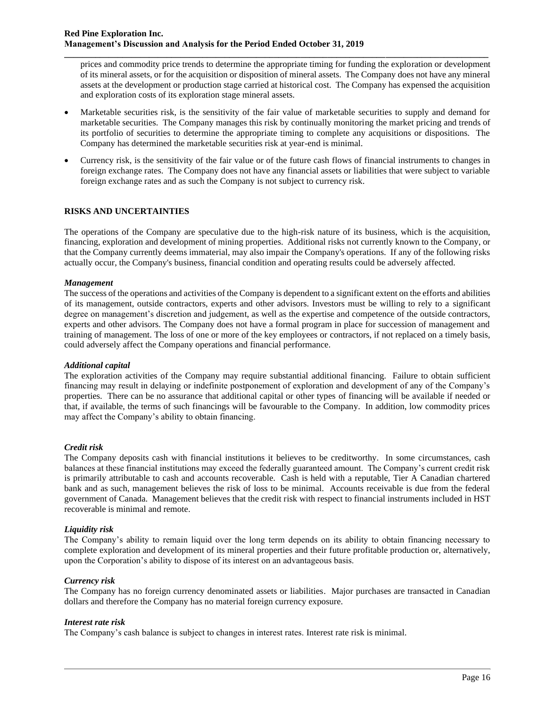prices and commodity price trends to determine the appropriate timing for funding the exploration or development of its mineral assets, or for the acquisition or disposition of mineral assets. The Company does not have any mineral assets at the development or production stage carried at historical cost. The Company has expensed the acquisition and exploration costs of its exploration stage mineral assets.

**\_\_\_\_\_\_\_\_\_\_\_\_\_\_\_\_\_\_\_\_\_\_\_\_\_\_\_\_\_\_\_\_\_\_\_\_\_\_\_\_\_\_\_\_\_\_\_\_\_\_\_\_\_\_\_\_\_\_\_\_\_\_\_\_\_\_\_\_\_\_\_\_\_\_\_\_\_\_\_\_\_\_\_\_\_\_\_\_\_\_\_\_\_\_\_**

- Marketable securities risk, is the sensitivity of the fair value of marketable securities to supply and demand for marketable securities. The Company manages this risk by continually monitoring the market pricing and trends of its portfolio of securities to determine the appropriate timing to complete any acquisitions or dispositions. The Company has determined the marketable securities risk at year-end is minimal.
- Currency risk, is the sensitivity of the fair value or of the future cash flows of financial instruments to changes in foreign exchange rates. The Company does not have any financial assets or liabilities that were subject to variable foreign exchange rates and as such the Company is not subject to currency risk.

# **RISKS AND UNCERTAINTIES**

The operations of the Company are speculative due to the high-risk nature of its business, which is the acquisition, financing, exploration and development of mining properties. Additional risks not currently known to the Company, or that the Company currently deems immaterial, may also impair the Company's operations. If any of the following risks actually occur, the Company's business, financial condition and operating results could be adversely affected.

#### *Management*

The success of the operations and activities of the Company is dependent to a significant extent on the efforts and abilities of its management, outside contractors, experts and other advisors. Investors must be willing to rely to a significant degree on management's discretion and judgement, as well as the expertise and competence of the outside contractors, experts and other advisors. The Company does not have a formal program in place for succession of management and training of management. The loss of one or more of the key employees or contractors, if not replaced on a timely basis, could adversely affect the Company operations and financial performance.

### *Additional capital*

The exploration activities of the Company may require substantial additional financing. Failure to obtain sufficient financing may result in delaying or indefinite postponement of exploration and development of any of the Company's properties. There can be no assurance that additional capital or other types of financing will be available if needed or that, if available, the terms of such financings will be favourable to the Company. In addition, low commodity prices may affect the Company's ability to obtain financing.

### *Credit risk*

The Company deposits cash with financial institutions it believes to be creditworthy. In some circumstances, cash balances at these financial institutions may exceed the federally guaranteed amount. The Company's current credit risk is primarily attributable to cash and accounts recoverable. Cash is held with a reputable, Tier A Canadian chartered bank and as such, management believes the risk of loss to be minimal. Accounts receivable is due from the federal government of Canada. Management believes that the credit risk with respect to financial instruments included in HST recoverable is minimal and remote.

#### *Liquidity risk*

The Company's ability to remain liquid over the long term depends on its ability to obtain financing necessary to complete exploration and development of its mineral properties and their future profitable production or, alternatively, upon the Corporation's ability to dispose of its interest on an advantageous basis.

#### *Currency risk*

The Company has no foreign currency denominated assets or liabilities. Major purchases are transacted in Canadian dollars and therefore the Company has no material foreign currency exposure.

#### *Interest rate risk*

The Company's cash balance is subject to changes in interest rates. Interest rate risk is minimal.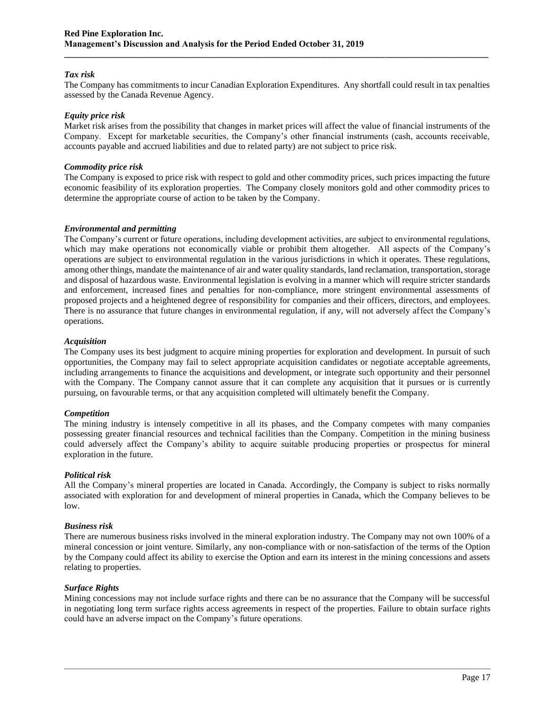#### *Tax risk*

The Company has commitments to incur Canadian Exploration Expenditures. Any shortfall could result in tax penalties assessed by the Canada Revenue Agency.

**\_\_\_\_\_\_\_\_\_\_\_\_\_\_\_\_\_\_\_\_\_\_\_\_\_\_\_\_\_\_\_\_\_\_\_\_\_\_\_\_\_\_\_\_\_\_\_\_\_\_\_\_\_\_\_\_\_\_\_\_\_\_\_\_\_\_\_\_\_\_\_\_\_\_\_\_\_\_\_\_\_\_\_\_\_\_\_\_\_\_\_\_\_\_\_**

# *Equity price risk*

Market risk arises from the possibility that changes in market prices will affect the value of financial instruments of the Company. Except for marketable securities, the Company's other financial instruments (cash, accounts receivable, accounts payable and accrued liabilities and due to related party) are not subject to price risk.

#### *Commodity price risk*

The Company is exposed to price risk with respect to gold and other commodity prices, such prices impacting the future economic feasibility of its exploration properties. The Company closely monitors gold and other commodity prices to determine the appropriate course of action to be taken by the Company.

#### *Environmental and permitting*

The Company's current or future operations, including development activities, are subject to environmental regulations, which may make operations not economically viable or prohibit them altogether. All aspects of the Company's operations are subject to environmental regulation in the various jurisdictions in which it operates. These regulations, among other things, mandate the maintenance of air and water quality standards, land reclamation, transportation, storage and disposal of hazardous waste. Environmental legislation is evolving in a manner which will require stricter standards and enforcement, increased fines and penalties for non-compliance, more stringent environmental assessments of proposed projects and a heightened degree of responsibility for companies and their officers, directors, and employees. There is no assurance that future changes in environmental regulation, if any, will not adversely affect the Company's operations.

#### *Acquisition*

The Company uses its best judgment to acquire mining properties for exploration and development. In pursuit of such opportunities, the Company may fail to select appropriate acquisition candidates or negotiate acceptable agreements, including arrangements to finance the acquisitions and development, or integrate such opportunity and their personnel with the Company. The Company cannot assure that it can complete any acquisition that it pursues or is currently pursuing, on favourable terms, or that any acquisition completed will ultimately benefit the Company.

#### *Competition*

The mining industry is intensely competitive in all its phases, and the Company competes with many companies possessing greater financial resources and technical facilities than the Company. Competition in the mining business could adversely affect the Company's ability to acquire suitable producing properties or prospectus for mineral exploration in the future.

#### *Political risk*

All the Company's mineral properties are located in Canada. Accordingly, the Company is subject to risks normally associated with exploration for and development of mineral properties in Canada, which the Company believes to be low.

#### *Business risk*

There are numerous business risks involved in the mineral exploration industry. The Company may not own 100% of a mineral concession or joint venture. Similarly, any non-compliance with or non-satisfaction of the terms of the Option by the Company could affect its ability to exercise the Option and earn its interest in the mining concessions and assets relating to properties.

#### *Surface Rights*

Mining concessions may not include surface rights and there can be no assurance that the Company will be successful in negotiating long term surface rights access agreements in respect of the properties. Failure to obtain surface rights could have an adverse impact on the Company's future operations.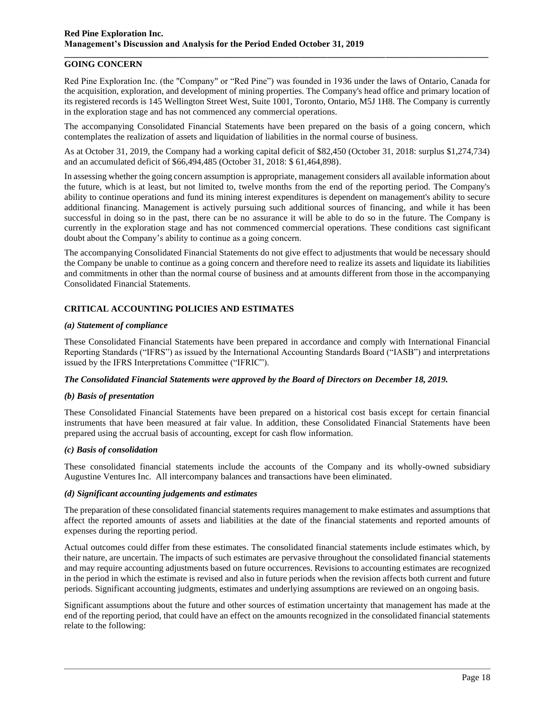# **GOING CONCERN**

Red Pine Exploration Inc. (the "Company" or "Red Pine") was founded in 1936 under the laws of Ontario, Canada for the acquisition, exploration, and development of mining properties. The Company's head office and primary location of its registered records is 145 Wellington Street West, Suite 1001, Toronto, Ontario, M5J 1H8. The Company is currently in the exploration stage and has not commenced any commercial operations.

**\_\_\_\_\_\_\_\_\_\_\_\_\_\_\_\_\_\_\_\_\_\_\_\_\_\_\_\_\_\_\_\_\_\_\_\_\_\_\_\_\_\_\_\_\_\_\_\_\_\_\_\_\_\_\_\_\_\_\_\_\_\_\_\_\_\_\_\_\_\_\_\_\_\_\_\_\_\_\_\_\_\_\_\_\_\_\_\_\_\_\_\_\_\_\_**

The accompanying Consolidated Financial Statements have been prepared on the basis of a going concern, which contemplates the realization of assets and liquidation of liabilities in the normal course of business.

As at October 31, 2019, the Company had a working capital deficit of \$82,450 (October 31, 2018: surplus \$1,274,734) and an accumulated deficit of \$66,494,485 (October 31, 2018: \$ 61,464,898).

In assessing whether the going concern assumption is appropriate, management considers all available information about the future, which is at least, but not limited to, twelve months from the end of the reporting period. The Company's ability to continue operations and fund its mining interest expenditures is dependent on management's ability to secure additional financing. Management is actively pursuing such additional sources of financing, and while it has been successful in doing so in the past, there can be no assurance it will be able to do so in the future. The Company is currently in the exploration stage and has not commenced commercial operations. These conditions cast significant doubt about the Company's ability to continue as a going concern.

The accompanying Consolidated Financial Statements do not give effect to adjustments that would be necessary should the Company be unable to continue as a going concern and therefore need to realize its assets and liquidate its liabilities and commitments in other than the normal course of business and at amounts different from those in the accompanying Consolidated Financial Statements.

# **CRITICAL ACCOUNTING POLICIES AND ESTIMATES**

#### *(a) Statement of compliance*

These Consolidated Financial Statements have been prepared in accordance and comply with International Financial Reporting Standards ("IFRS") as issued by the International Accounting Standards Board ("IASB") and interpretations issued by the IFRS Interpretations Committee ("IFRIC").

### *The Consolidated Financial Statements were approved by the Board of Directors on December 18, 2019.*

#### *(b) Basis of presentation*

These Consolidated Financial Statements have been prepared on a historical cost basis except for certain financial instruments that have been measured at fair value. In addition, these Consolidated Financial Statements have been prepared using the accrual basis of accounting, except for cash flow information.

### *(c) Basis of consolidation*

These consolidated financial statements include the accounts of the Company and its wholly-owned subsidiary Augustine Ventures Inc. All intercompany balances and transactions have been eliminated.

#### *(d) Significant accounting judgements and estimates*

The preparation of these consolidated financial statements requires management to make estimates and assumptions that affect the reported amounts of assets and liabilities at the date of the financial statements and reported amounts of expenses during the reporting period.

Actual outcomes could differ from these estimates. The consolidated financial statements include estimates which, by their nature, are uncertain. The impacts of such estimates are pervasive throughout the consolidated financial statements and may require accounting adjustments based on future occurrences. Revisions to accounting estimates are recognized in the period in which the estimate is revised and also in future periods when the revision affects both current and future periods. Significant accounting judgments, estimates and underlying assumptions are reviewed on an ongoing basis.

Significant assumptions about the future and other sources of estimation uncertainty that management has made at the end of the reporting period, that could have an effect on the amounts recognized in the consolidated financial statements relate to the following: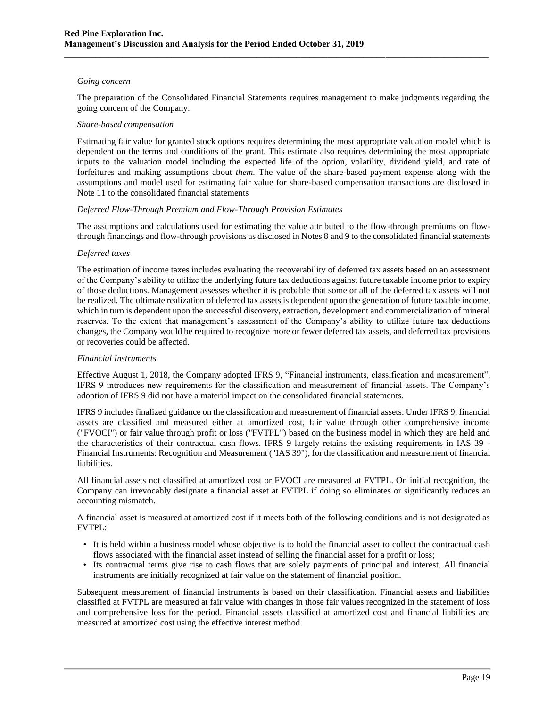#### *Going concern*

The preparation of the Consolidated Financial Statements requires management to make judgments regarding the going concern of the Company.

**\_\_\_\_\_\_\_\_\_\_\_\_\_\_\_\_\_\_\_\_\_\_\_\_\_\_\_\_\_\_\_\_\_\_\_\_\_\_\_\_\_\_\_\_\_\_\_\_\_\_\_\_\_\_\_\_\_\_\_\_\_\_\_\_\_\_\_\_\_\_\_\_\_\_\_\_\_\_\_\_\_\_\_\_\_\_\_\_\_\_\_\_\_\_\_**

#### *Share-based compensation*

Estimating fair value for granted stock options requires determining the most appropriate valuation model which is dependent on the terms and conditions of the grant. This estimate also requires determining the most appropriate inputs to the valuation model including the expected life of the option, volatility, dividend yield, and rate of forfeitures and making assumptions about *them.* The value of the share-based payment expense along with the assumptions and model used for estimating fair value for share-based compensation transactions are disclosed in Note 11 to the consolidated financial statements

#### *Deferred Flow-Through Premium and Flow-Through Provision Estimates*

The assumptions and calculations used for estimating the value attributed to the flow-through premiums on flowthrough financings and flow-through provisions as disclosed in Notes 8 and 9 to the consolidated financial statements

### *Deferred taxes*

The estimation of income taxes includes evaluating the recoverability of deferred tax assets based on an assessment of the Company's ability to utilize the underlying future tax deductions against future taxable income prior to expiry of those deductions. Management assesses whether it is probable that some or all of the deferred tax assets will not be realized. The ultimate realization of deferred tax assets is dependent upon the generation of future taxable income, which in turn is dependent upon the successful discovery, extraction, development and commercialization of mineral reserves. To the extent that management's assessment of the Company's ability to utilize future tax deductions changes, the Company would be required to recognize more or fewer deferred tax assets, and deferred tax provisions or recoveries could be affected*.*

### *Financial Instruments*

Effective August 1, 2018, the Company adopted IFRS 9, "Financial instruments, classification and measurement". IFRS 9 introduces new requirements for the classification and measurement of financial assets. The Company's adoption of IFRS 9 did not have a material impact on the consolidated financial statements.

IFRS 9 includes finalized guidance on the classification and measurement of financial assets. Under IFRS 9, financial assets are classified and measured either at amortized cost, fair value through other comprehensive income ("FVOCI") or fair value through profit or loss ("FVTPL") based on the business model in which they are held and the characteristics of their contractual cash flows. IFRS 9 largely retains the existing requirements in IAS 39 - Financial Instruments: Recognition and Measurement ("IAS 39"), for the classification and measurement of financial liabilities.

All financial assets not classified at amortized cost or FVOCI are measured at FVTPL. On initial recognition, the Company can irrevocably designate a financial asset at FVTPL if doing so eliminates or significantly reduces an accounting mismatch.

A financial asset is measured at amortized cost if it meets both of the following conditions and is not designated as FVTPL:

- It is held within a business model whose objective is to hold the financial asset to collect the contractual cash flows associated with the financial asset instead of selling the financial asset for a profit or loss;
- Its contractual terms give rise to cash flows that are solely payments of principal and interest. All financial instruments are initially recognized at fair value on the statement of financial position.

Subsequent measurement of financial instruments is based on their classification. Financial assets and liabilities classified at FVTPL are measured at fair value with changes in those fair values recognized in the statement of loss and comprehensive loss for the period. Financial assets classified at amortized cost and financial liabilities are measured at amortized cost using the effective interest method.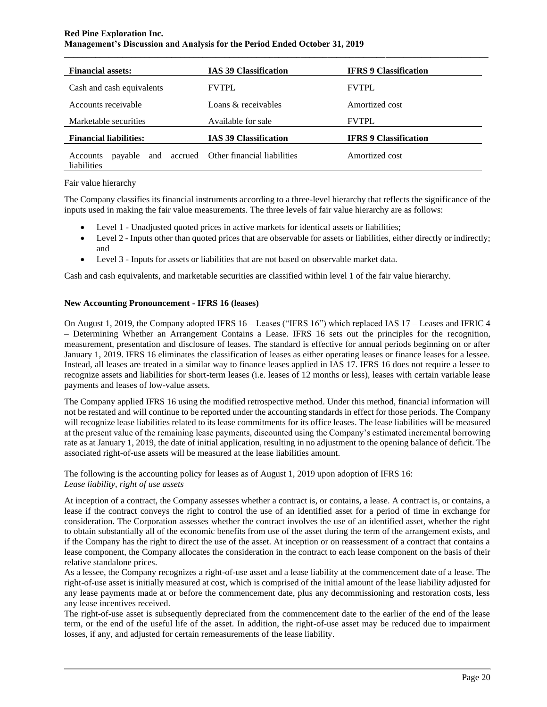### **Red Pine Exploration Inc. Management's Discussion and Analysis for the Period Ended October 31, 2019**

| <b>Financial assets:</b>           | <b>IAS 39 Classification</b>            | <b>IFRS 9 Classification</b> |
|------------------------------------|-----------------------------------------|------------------------------|
| Cash and cash equivalents          | <b>FVTPL</b>                            | <b>FVTPL</b>                 |
| Accounts receivable                | Loans & receivables                     | Amortized cost               |
| Marketable securities              | Available for sale                      | <b>FVTPL</b>                 |
| <b>Financial liabilities:</b>      | <b>IAS 39 Classification</b>            | <b>IFRS 9 Classification</b> |
| payable<br>Accounts<br>liabilities | and accrued Other financial liabilities | Amortized cost               |

#### Fair value hierarchy

The Company classifies its financial instruments according to a three-level hierarchy that reflects the significance of the inputs used in making the fair value measurements. The three levels of fair value hierarchy are as follows:

- Level 1 Unadjusted quoted prices in active markets for identical assets or liabilities;
- Level 2 Inputs other than quoted prices that are observable for assets or liabilities, either directly or indirectly; and
- Level 3 Inputs for assets or liabilities that are not based on observable market data.

Cash and cash equivalents, and marketable securities are classified within level 1 of the fair value hierarchy.

#### **New Accounting Pronouncement - IFRS 16 (leases)**

On August 1, 2019, the Company adopted IFRS 16 – Leases ("IFRS 16") which replaced IAS 17 – Leases and IFRIC 4 – Determining Whether an Arrangement Contains a Lease. IFRS 16 sets out the principles for the recognition, measurement, presentation and disclosure of leases. The standard is effective for annual periods beginning on or after January 1, 2019. IFRS 16 eliminates the classification of leases as either operating leases or finance leases for a lessee. Instead, all leases are treated in a similar way to finance leases applied in IAS 17. IFRS 16 does not require a lessee to recognize assets and liabilities for short-term leases (i.e. leases of 12 months or less), leases with certain variable lease payments and leases of low-value assets.

The Company applied IFRS 16 using the modified retrospective method. Under this method, financial information will not be restated and will continue to be reported under the accounting standards in effect for those periods. The Company will recognize lease liabilities related to its lease commitments for its office leases. The lease liabilities will be measured at the present value of the remaining lease payments, discounted using the Company's estimated incremental borrowing rate as at January 1, 2019, the date of initial application, resulting in no adjustment to the opening balance of deficit. The associated right-of-use assets will be measured at the lease liabilities amount.

The following is the accounting policy for leases as of August 1, 2019 upon adoption of IFRS 16: *Lease liability, right of use assets* 

At inception of a contract, the Company assesses whether a contract is, or contains, a lease. A contract is, or contains, a lease if the contract conveys the right to control the use of an identified asset for a period of time in exchange for consideration. The Corporation assesses whether the contract involves the use of an identified asset, whether the right to obtain substantially all of the economic benefits from use of the asset during the term of the arrangement exists, and if the Company has the right to direct the use of the asset. At inception or on reassessment of a contract that contains a lease component, the Company allocates the consideration in the contract to each lease component on the basis of their relative standalone prices.

As a lessee, the Company recognizes a right-of-use asset and a lease liability at the commencement date of a lease. The right-of-use asset is initially measured at cost, which is comprised of the initial amount of the lease liability adjusted for any lease payments made at or before the commencement date, plus any decommissioning and restoration costs, less any lease incentives received.

The right-of-use asset is subsequently depreciated from the commencement date to the earlier of the end of the lease term, or the end of the useful life of the asset. In addition, the right-of-use asset may be reduced due to impairment losses, if any, and adjusted for certain remeasurements of the lease liability.